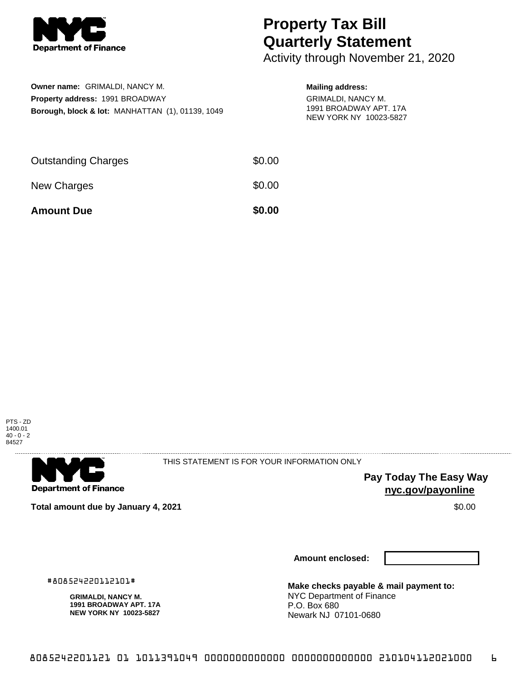

## **Property Tax Bill Quarterly Statement**

Activity through November 21, 2020

| Owner name: GRIMALDI, NANCY M.                              |
|-------------------------------------------------------------|
| <b>Property address: 1991 BROADWAY</b>                      |
| <b>Borough, block &amp; lot: MANHATTAN (1), 01139, 1049</b> |

## **Mailing address:**

GRIMALDI, NANCY M. 1991 BROADWAY APT. 17A NEW YORK NY 10023-5827

| <b>Amount Due</b>          | \$0.00 |
|----------------------------|--------|
| New Charges                | \$0.00 |
| <b>Outstanding Charges</b> | \$0.00 |





THIS STATEMENT IS FOR YOUR INFORMATION ONLY

**Pay Today The Easy Way nyc.gov/payonline**

**Total amount due by January 4, 2021 \$0.00**  $\bullet$  **\$0.00**  $\bullet$  **\$0.00**  $\bullet$  \$0.00

**Amount enclosed:**

#808524220112101#

**GRIMALDI, NANCY M. 1991 BROADWAY APT. 17A NEW YORK NY 10023-5827**

**Make checks payable & mail payment to:** NYC Department of Finance P.O. Box 680 Newark NJ 07101-0680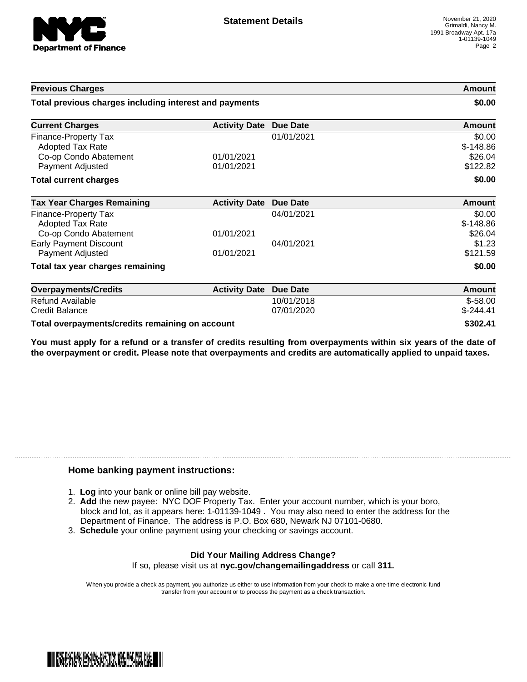

| <b>Previous Charges</b>                                                                             |                          |                          | Amount                                      |
|-----------------------------------------------------------------------------------------------------|--------------------------|--------------------------|---------------------------------------------|
| Total previous charges including interest and payments                                              |                          |                          | \$0.00                                      |
| <b>Current Charges</b>                                                                              | <b>Activity Date</b>     | <b>Due Date</b>          | Amount                                      |
| <b>Finance-Property Tax</b><br><b>Adopted Tax Rate</b><br>Co-op Condo Abatement<br>Payment Adjusted | 01/01/2021<br>01/01/2021 | 01/01/2021               | \$0.00<br>$$-148.86$<br>\$26.04<br>\$122.82 |
| <b>Total current charges</b>                                                                        |                          |                          | \$0.00                                      |
| <b>Tax Year Charges Remaining</b>                                                                   | <b>Activity Date</b>     | <b>Due Date</b>          | <b>Amount</b>                               |
| Finance-Property Tax<br><b>Adopted Tax Rate</b><br>Co-op Condo Abatement                            | 01/01/2021               | 04/01/2021               | \$0.00<br>$$-148.86$<br>\$26.04             |
| <b>Early Payment Discount</b><br><b>Payment Adjusted</b>                                            | 01/01/2021               | 04/01/2021               | \$1.23<br>\$121.59                          |
| Total tax year charges remaining                                                                    |                          |                          | \$0.00                                      |
| <b>Overpayments/Credits</b>                                                                         | <b>Activity Date</b>     | <b>Due Date</b>          | <b>Amount</b>                               |
| <b>Refund Available</b><br><b>Credit Balance</b>                                                    |                          | 10/01/2018<br>07/01/2020 | $$-58.00$<br>$$-244.41$                     |
| Total overpayments/credits remaining on account                                                     |                          |                          | \$302.41                                    |

You must apply for a refund or a transfer of credits resulting from overpayments within six years of the date of **the overpayment or credit. Please note that overpayments and credits are automatically applied to unpaid taxes.**

## **Home banking payment instructions:**

- 1. **Log** into your bank or online bill pay website.
- 2. **Add** the new payee: NYC DOF Property Tax. Enter your account number, which is your boro, block and lot, as it appears here: 1-01139-1049 . You may also need to enter the address for the Department of Finance. The address is P.O. Box 680, Newark NJ 07101-0680.
- 3. **Schedule** your online payment using your checking or savings account.

## **Did Your Mailing Address Change?** If so, please visit us at **nyc.gov/changemailingaddress** or call **311.**

When you provide a check as payment, you authorize us either to use information from your check to make a one-time electronic fund transfer from your account or to process the payment as a check transaction.